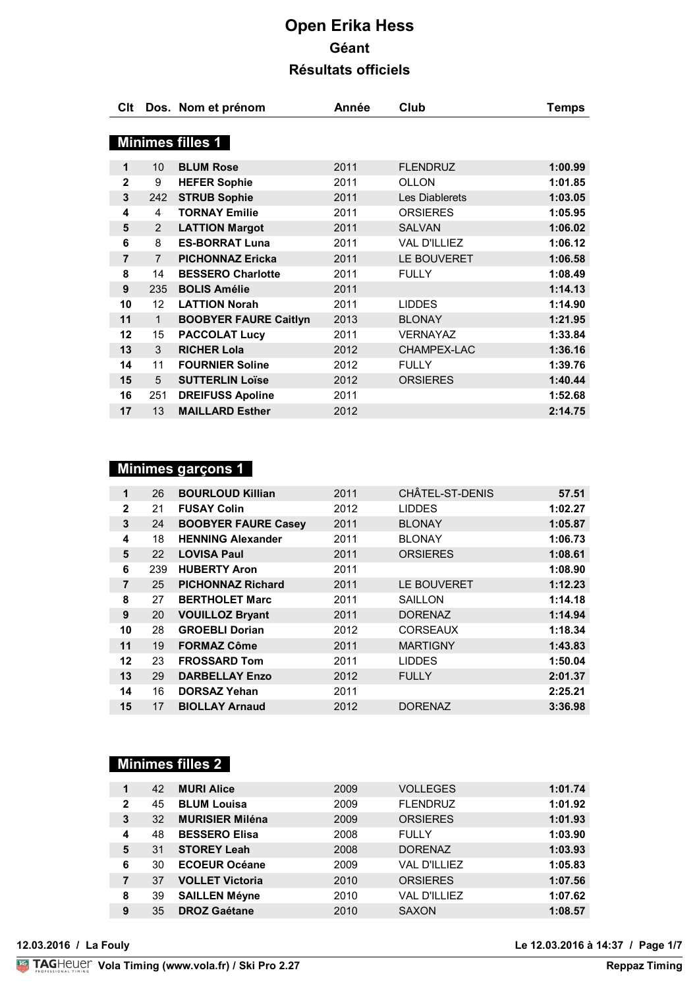| Clt            |                 | Dos. Nom et prénom           | Année | Club                | <b>Temps</b> |
|----------------|-----------------|------------------------------|-------|---------------------|--------------|
|                |                 |                              |       |                     |              |
|                |                 | <b>Minimes filles 1</b>      |       |                     |              |
| $\mathbf 1$    | 10              | <b>BLUM Rose</b>             | 2011  | <b>FLENDRUZ</b>     | 1:00.99      |
| $\overline{2}$ | 9               | <b>HEFER Sophie</b>          | 2011  | <b>OLLON</b>        | 1:01.85      |
| 3              | 242             | <b>STRUB Sophie</b>          | 2011  | Les Diablerets      | 1:03.05      |
| 4              | 4               | <b>TORNAY Emilie</b>         | 2011  | <b>ORSIERES</b>     | 1:05.95      |
| 5              | 2               | <b>LATTION Margot</b>        | 2011  | <b>SALVAN</b>       | 1:06.02      |
| 6              | 8               | <b>ES-BORRAT Luna</b>        | 2011  | <b>VAL D'ILLIEZ</b> | 1:06.12      |
| 7              | $\overline{7}$  | <b>PICHONNAZ Ericka</b>      | 2011  | LE BOUVERET         | 1:06.58      |
| 8              | 14              | <b>BESSERO Charlotte</b>     | 2011  | <b>FULLY</b>        | 1:08.49      |
| 9              | 235             | <b>BOLIS Amélie</b>          | 2011  |                     | 1:14.13      |
| 10             | 12 <sup>2</sup> | <b>LATTION Norah</b>         | 2011  | <b>LIDDES</b>       | 1:14.90      |
| 11             | $\mathbf{1}$    | <b>BOOBYER FAURE Caitlyn</b> | 2013  | <b>BLONAY</b>       | 1:21.95      |
| 12             | 15              | <b>PACCOLAT Lucy</b>         | 2011  | <b>VERNAYAZ</b>     | 1:33.84      |
| 13             | 3               | <b>RICHER Lola</b>           | 2012  | CHAMPEX-LAC         | 1:36.16      |
| 14             | 11              | <b>FOURNIER Soline</b>       | 2012  | <b>FULLY</b>        | 1:39.76      |
| 15             | 5               | <b>SUTTERLIN Loïse</b>       | 2012  | <b>ORSIERES</b>     | 1:40.44      |
| 16             | 251             | <b>DREIFUSS Apoline</b>      | 2011  |                     | 1:52.68      |
| 17             | 13              | <b>MAILLARD Esther</b>       | 2012  |                     | 2:14.75      |

## **Minimes garçons 1**

| 1              | 26  | <b>BOURLOUD Killian</b>    | 2011 | CHÂTEL-ST-DENIS | 57.51   |
|----------------|-----|----------------------------|------|-----------------|---------|
| $\mathbf{2}$   | 21  | <b>FUSAY Colin</b>         | 2012 | <b>LIDDES</b>   | 1:02.27 |
| 3              | 24  | <b>BOOBYER FAURE Casey</b> | 2011 | <b>BLONAY</b>   | 1:05.87 |
| 4              | 18  | <b>HENNING Alexander</b>   | 2011 | <b>BLONAY</b>   | 1:06.73 |
| 5              | 22  | <b>LOVISA Paul</b>         | 2011 | <b>ORSIERES</b> | 1:08.61 |
| 6              | 239 | <b>HUBERTY Aron</b>        | 2011 |                 | 1:08.90 |
| $\overline{7}$ | 25  | <b>PICHONNAZ Richard</b>   | 2011 | LE BOUVERET     | 1:12.23 |
| 8              | 27  | <b>BERTHOLET Marc</b>      | 2011 | <b>SAILLON</b>  | 1:14.18 |
| 9              | 20  | <b>VOUILLOZ Bryant</b>     | 2011 | <b>DORENAZ</b>  | 1:14.94 |
| 10             | 28  | <b>GROEBLI Dorian</b>      | 2012 | <b>CORSEAUX</b> | 1:18.34 |
| 11             | 19  | <b>FORMAZ Côme</b>         | 2011 | <b>MARTIGNY</b> | 1:43.83 |
| 12             | 23  | <b>FROSSARD Tom</b>        | 2011 | <b>LIDDES</b>   | 1:50.04 |
| 13             | 29  | <b>DARBELLAY Enzo</b>      | 2012 | <b>FULLY</b>    | 2:01.37 |
| 14             | 16  | <b>DORSAZ Yehan</b>        | 2011 |                 | 2:25.21 |
| 15             | 17  | <b>BIOLLAY Arnaud</b>      | 2012 | <b>DORENAZ</b>  | 3:36.98 |

#### **Minimes filles 2**

| 1            | 42 | <b>MURI Alice</b>      | 2009 | <b>VOLLEGES</b>     | 1:01.74 |
|--------------|----|------------------------|------|---------------------|---------|
| $\mathbf{2}$ | 45 | <b>BLUM Louisa</b>     | 2009 | <b>FLENDRUZ</b>     | 1:01.92 |
| 3            | 32 | <b>MURISIER Miléna</b> | 2009 | <b>ORSIERES</b>     | 1:01.93 |
| 4            | 48 | <b>BESSERO Elisa</b>   | 2008 | <b>FULLY</b>        | 1:03.90 |
| 5            | 31 | <b>STOREY Leah</b>     | 2008 | <b>DORENAZ</b>      | 1:03.93 |
| 6            | 30 | <b>ECOEUR Océane</b>   | 2009 | <b>VAL D'ILLIEZ</b> | 1:05.83 |
| 7            | 37 | <b>VOLLET Victoria</b> | 2010 | <b>ORSIERES</b>     | 1:07.56 |
| 8            | 39 | <b>SAILLEN Méyne</b>   | 2010 | <b>VAL D'ILLIEZ</b> | 1:07.62 |
| 9            | 35 | <b>DROZ Gaétane</b>    | 2010 | <b>SAXON</b>        | 1:08.57 |
|              |    |                        |      |                     |         |

**12.03.2016 / La Fouly Le 12.03.2016 à 14:37 / Page 1/7**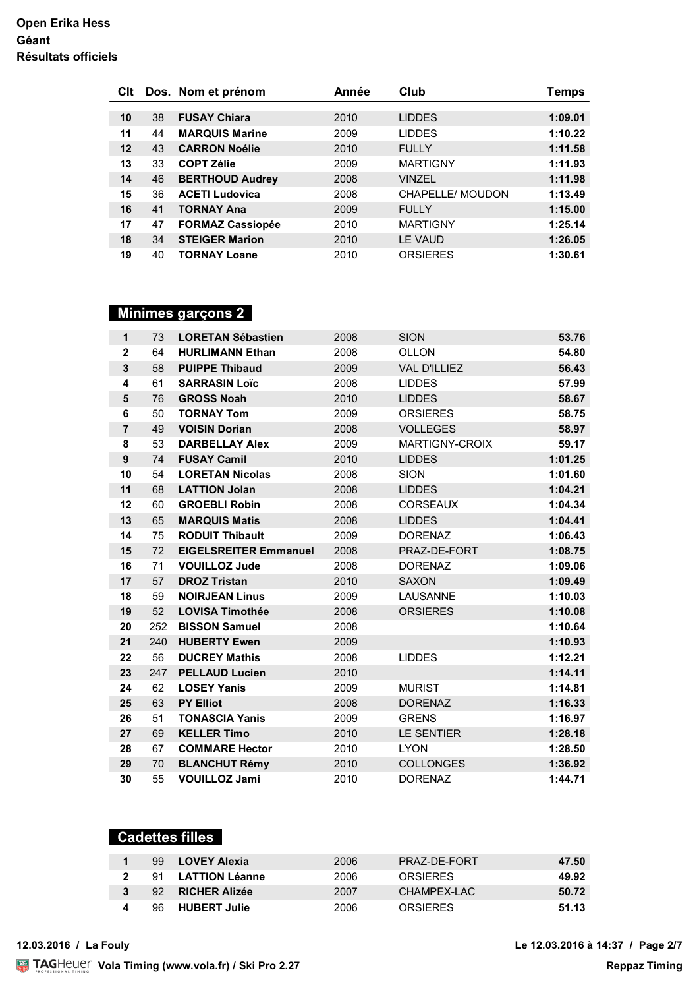| Clt |    | Dos. Nom et prénom      | Année | Club             | Temps   |
|-----|----|-------------------------|-------|------------------|---------|
|     |    |                         |       |                  |         |
| 10  | 38 | <b>FUSAY Chiara</b>     | 2010  | <b>LIDDES</b>    | 1:09.01 |
| 11  | 44 | <b>MARQUIS Marine</b>   | 2009  | <b>LIDDES</b>    | 1:10.22 |
| 12  | 43 | <b>CARRON Noélie</b>    | 2010  | <b>FULLY</b>     | 1:11.58 |
| 13  | 33 | <b>COPT Zélie</b>       | 2009  | <b>MARTIGNY</b>  | 1:11.93 |
| 14  | 46 | <b>BERTHOUD Audrey</b>  | 2008  | <b>VINZEL</b>    | 1:11.98 |
| 15  | 36 | <b>ACETI Ludovica</b>   | 2008  | CHAPELLE/ MOUDON | 1:13.49 |
| 16  | 41 | <b>TORNAY Ana</b>       | 2009  | <b>FULLY</b>     | 1:15.00 |
| 17  | 47 | <b>FORMAZ Cassiopée</b> | 2010  | <b>MARTIGNY</b>  | 1:25.14 |
| 18  | 34 | <b>STEIGER Marion</b>   | 2010  | LE VAUD          | 1:26.05 |
| 19  | 40 | <b>TORNAY Loane</b>     | 2010  | <b>ORSIERES</b>  | 1:30.61 |

#### **Minimes garçons 2**

| $\mathbf{1}$     | 73  | <b>LORETAN Sébastien</b>     | 2008 | <b>SION</b>         | 53.76   |
|------------------|-----|------------------------------|------|---------------------|---------|
| $\mathbf 2$      | 64  | <b>HURLIMANN Ethan</b>       | 2008 | OLLON               | 54.80   |
| 3                | 58  | <b>PUIPPE Thibaud</b>        | 2009 | <b>VAL D'ILLIEZ</b> | 56.43   |
| 4                | 61  | <b>SARRASIN Loïc</b>         | 2008 | <b>LIDDES</b>       | 57.99   |
| 5                | 76  | <b>GROSS Noah</b>            | 2010 | <b>LIDDES</b>       | 58.67   |
| 6                | 50  | <b>TORNAY Tom</b>            | 2009 | <b>ORSIERES</b>     | 58.75   |
| $\overline{7}$   | 49  | <b>VOISIN Dorian</b>         | 2008 | <b>VOLLEGES</b>     | 58.97   |
| 8                | 53  | <b>DARBELLAY Alex</b>        | 2009 | MARTIGNY-CROIX      | 59.17   |
| $\boldsymbol{9}$ | 74  | <b>FUSAY Camil</b>           | 2010 | <b>LIDDES</b>       | 1:01.25 |
| 10               | 54  | <b>LORETAN Nicolas</b>       | 2008 | <b>SION</b>         | 1:01.60 |
| 11               | 68  | <b>LATTION Jolan</b>         | 2008 | <b>LIDDES</b>       | 1:04.21 |
| 12               | 60  | <b>GROEBLI Robin</b>         | 2008 | <b>CORSEAUX</b>     | 1:04.34 |
| 13               | 65  | <b>MARQUIS Matis</b>         | 2008 | <b>LIDDES</b>       | 1:04.41 |
| 14               | 75  | <b>RODUIT Thibault</b>       | 2009 | <b>DORENAZ</b>      | 1:06.43 |
| 15               | 72  | <b>EIGELSREITER Emmanuel</b> | 2008 | PRAZ-DE-FORT        | 1:08.75 |
| 16               | 71  | <b>VOUILLOZ Jude</b>         | 2008 | <b>DORENAZ</b>      | 1:09.06 |
| 17               | 57  | <b>DROZ Tristan</b>          | 2010 | <b>SAXON</b>        | 1:09.49 |
| 18               | 59  | <b>NOIRJEAN Linus</b>        | 2009 | LAUSANNE            | 1:10.03 |
| 19               | 52  | <b>LOVISA Timothée</b>       | 2008 | <b>ORSIERES</b>     | 1:10.08 |
| 20               | 252 | <b>BISSON Samuel</b>         | 2008 |                     | 1:10.64 |
| 21               | 240 | <b>HUBERTY Ewen</b>          | 2009 |                     | 1:10.93 |
| 22               | 56  | <b>DUCREY Mathis</b>         | 2008 | <b>LIDDES</b>       | 1:12.21 |
| 23               | 247 | <b>PELLAUD Lucien</b>        | 2010 |                     | 1:14.11 |
| 24               | 62  | <b>LOSEY Yanis</b>           | 2009 | <b>MURIST</b>       | 1:14.81 |
| 25               | 63  | <b>PY Elliot</b>             | 2008 | <b>DORENAZ</b>      | 1:16.33 |
| 26               | 51  | <b>TONASCIA Yanis</b>        | 2009 | <b>GRENS</b>        | 1:16.97 |
| 27               | 69  | <b>KELLER Timo</b>           | 2010 | <b>LE SENTIER</b>   | 1:28.18 |
| 28               | 67  | <b>COMMARE Hector</b>        | 2010 | <b>LYON</b>         | 1:28.50 |
| 29               | 70  | <b>BLANCHUT Rémy</b>         | 2010 | <b>COLLONGES</b>    | 1:36.92 |
| 30               | 55  | <b>VOUILLOZ Jami</b>         | 2010 | <b>DORENAZ</b>      | 1:44.71 |

| <b>Cadettes filles</b> |                       |      |                 |       |  |  |  |  |  |
|------------------------|-----------------------|------|-----------------|-------|--|--|--|--|--|
| 99                     | <b>LOVEY Alexia</b>   | 2006 | PRAZ-DF-FORT    | 47.50 |  |  |  |  |  |
| 91                     | <b>LATTION Léanne</b> | 2006 | <b>ORSIFRES</b> | 49.92 |  |  |  |  |  |
| 92.                    | <b>RICHER Alizée</b>  | 2007 | CHAMPEX-LAC     | 50.72 |  |  |  |  |  |
| 96                     | <b>HUBERT Julie</b>   | 2006 | <b>ORSIFRES</b> | 51.13 |  |  |  |  |  |

**12.03.2016 / La Fouly Le 12.03.2016 à 14:37 / Page 2/7**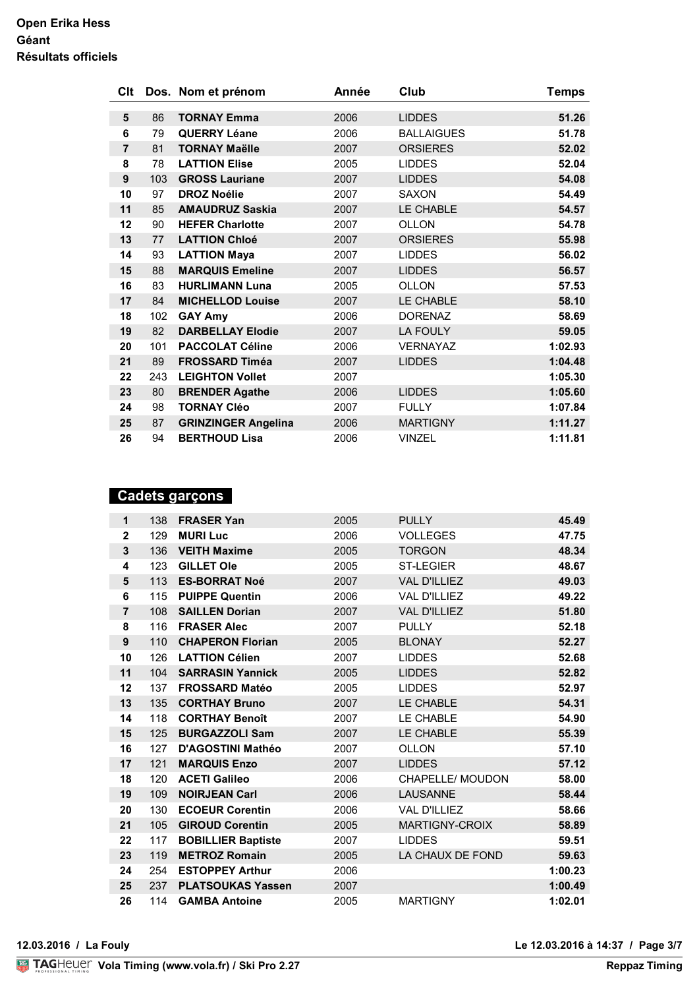| Clt            |     | Dos. Nom et prénom         | Année | Club              | <b>Temps</b> |
|----------------|-----|----------------------------|-------|-------------------|--------------|
| 5              | 86  | <b>TORNAY Emma</b>         | 2006  | <b>LIDDES</b>     | 51.26        |
| 6              | 79  | <b>QUERRY Léane</b>        | 2006  | <b>BALLAIGUES</b> |              |
|                |     |                            |       |                   | 51.78        |
| $\overline{7}$ | 81  | <b>TORNAY Maëlle</b>       | 2007  | <b>ORSIERES</b>   | 52.02        |
| 8              | 78  | <b>LATTION Elise</b>       | 2005  | <b>LIDDES</b>     | 52.04        |
| 9              | 103 | <b>GROSS Lauriane</b>      | 2007  | <b>LIDDES</b>     | 54.08        |
| 10             | 97  | <b>DROZ Noélie</b>         | 2007  | <b>SAXON</b>      | 54.49        |
| 11             | 85  | <b>AMAUDRUZ Saskia</b>     | 2007  | LE CHABLE         | 54.57        |
| 12             | 90  | <b>HEFER Charlotte</b>     | 2007  | <b>OLLON</b>      | 54.78        |
| 13             | 77  | <b>LATTION Chloé</b>       | 2007  | <b>ORSIERES</b>   | 55.98        |
| 14             | 93  | <b>LATTION Maya</b>        | 2007  | <b>LIDDES</b>     | 56.02        |
| 15             | 88  | <b>MARQUIS Emeline</b>     | 2007  | <b>LIDDES</b>     | 56.57        |
| 16             | 83  | <b>HURLIMANN Luna</b>      | 2005  | OLLON             | 57.53        |
| 17             | 84  | <b>MICHELLOD Louise</b>    | 2007  | LE CHABLE         | 58.10        |
| 18             | 102 | <b>GAY Amy</b>             | 2006  | <b>DORENAZ</b>    | 58.69        |
| 19             | 82  | <b>DARBELLAY Elodie</b>    | 2007  | <b>LA FOULY</b>   | 59.05        |
| 20             | 101 | <b>PACCOLAT Céline</b>     | 2006  | <b>VERNAYAZ</b>   | 1:02.93      |
| 21             | 89  | <b>FROSSARD Timéa</b>      | 2007  | <b>LIDDES</b>     | 1:04.48      |
| 22             | 243 | <b>LEIGHTON Vollet</b>     | 2007  |                   | 1:05.30      |
| 23             | 80  | <b>BRENDER Agathe</b>      | 2006  | <b>LIDDES</b>     | 1:05.60      |
| 24             | 98  | <b>TORNAY Cléo</b>         | 2007  | <b>FULLY</b>      | 1:07.84      |
| 25             | 87  | <b>GRINZINGER Angelina</b> | 2006  | <b>MARTIGNY</b>   | 1:11.27      |
| 26             | 94  | <b>BERTHOUD Lisa</b>       | 2006  | <b>VINZEL</b>     | 1:11.81      |

## **Cadets garçons**

| 1              | 138 | <b>FRASER Yan</b>         | 2005 | <b>PULLY</b>            | 45.49   |
|----------------|-----|---------------------------|------|-------------------------|---------|
| $\mathbf{2}$   | 129 | <b>MURI Luc</b>           | 2006 | <b>VOLLEGES</b>         | 47.75   |
| $\mathbf{3}$   | 136 | <b>VEITH Maxime</b>       | 2005 | <b>TORGON</b>           | 48.34   |
| 4              | 123 | <b>GILLET Ole</b>         | 2005 | <b>ST-LEGIER</b>        | 48.67   |
| 5              | 113 | <b>ES-BORRAT Noé</b>      | 2007 | <b>VAL D'ILLIEZ</b>     | 49.03   |
| 6              | 115 | <b>PUIPPE Quentin</b>     | 2006 | <b>VAL D'ILLIEZ</b>     | 49.22   |
| $\overline{7}$ | 108 | <b>SAILLEN Dorian</b>     | 2007 | <b>VAL D'ILLIEZ</b>     | 51.80   |
| 8              | 116 | <b>FRASER Alec</b>        | 2007 | <b>PULLY</b>            | 52.18   |
| 9              | 110 | <b>CHAPERON Florian</b>   | 2005 | <b>BLONAY</b>           | 52.27   |
| 10             | 126 | <b>LATTION Célien</b>     | 2007 | <b>LIDDES</b>           | 52.68   |
| 11             | 104 | <b>SARRASIN Yannick</b>   | 2005 | <b>LIDDES</b>           | 52.82   |
| 12             | 137 | <b>FROSSARD Matéo</b>     | 2005 | <b>LIDDES</b>           | 52.97   |
| 13             | 135 | <b>CORTHAY Bruno</b>      | 2007 | LE CHABLE               | 54.31   |
| 14             | 118 | <b>CORTHAY Benoît</b>     | 2007 | LE CHABLE               | 54.90   |
| 15             | 125 | <b>BURGAZZOLI Sam</b>     | 2007 | LE CHABLE               | 55.39   |
| 16             | 127 | D'AGOSTINI Mathéo         | 2007 | <b>OLLON</b>            | 57.10   |
| 17             | 121 | <b>MARQUIS Enzo</b>       | 2007 | <b>LIDDES</b>           | 57.12   |
| 18             | 120 | <b>ACETI Galileo</b>      | 2006 | <b>CHAPELLE/ MOUDON</b> | 58.00   |
| 19             | 109 | <b>NOIRJEAN Carl</b>      | 2006 | <b>LAUSANNE</b>         | 58.44   |
| 20             | 130 | <b>ECOEUR Corentin</b>    | 2006 | <b>VAL D'ILLIEZ</b>     | 58.66   |
| 21             | 105 | <b>GIROUD Corentin</b>    | 2005 | MARTIGNY-CROIX          | 58.89   |
| 22             | 117 | <b>BOBILLIER Baptiste</b> | 2007 | <b>LIDDES</b>           | 59.51   |
| 23             | 119 | <b>METROZ Romain</b>      | 2005 | LA CHAUX DE FOND        | 59.63   |
| 24             | 254 | <b>ESTOPPEY Arthur</b>    | 2006 |                         | 1:00.23 |
| 25             | 237 | <b>PLATSOUKAS Yassen</b>  | 2007 |                         | 1:00.49 |
| 26             | 114 | <b>GAMBA Antoine</b>      | 2005 | <b>MARTIGNY</b>         | 1:02.01 |
|                |     |                           |      |                         |         |

**12.03.2016 / La Fouly Le 12.03.2016 à 14:37 / Page 3/7**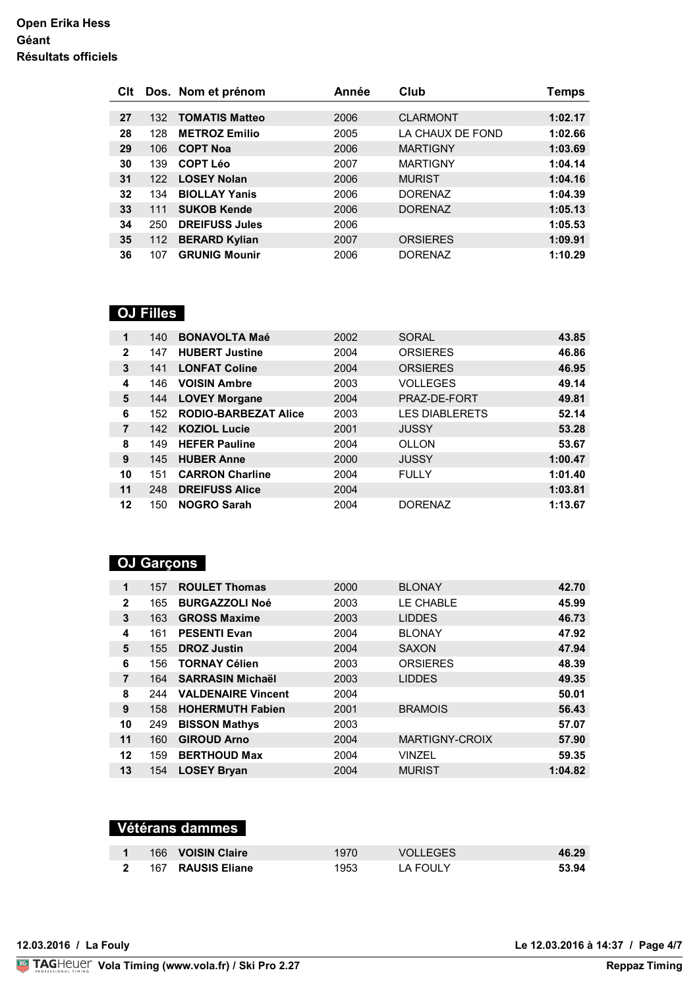| Clt |     | Dos. Nom et prénom    | Année | Club             | Temps   |
|-----|-----|-----------------------|-------|------------------|---------|
|     |     |                       |       |                  |         |
| 27  | 132 | <b>TOMATIS Matteo</b> | 2006  | <b>CLARMONT</b>  | 1:02.17 |
| 28  | 128 | <b>METROZ Emilio</b>  | 2005  | LA CHAUX DE FOND | 1:02.66 |
| 29  | 106 | <b>COPT Noa</b>       | 2006  | <b>MARTIGNY</b>  | 1:03.69 |
| 30  | 139 | <b>COPT Léo</b>       | 2007  | <b>MARTIGNY</b>  | 1:04.14 |
| 31  | 122 | <b>LOSEY Nolan</b>    | 2006  | <b>MURIST</b>    | 1:04.16 |
| 32  | 134 | <b>BIOLLAY Yanis</b>  | 2006  | <b>DORENAZ</b>   | 1:04.39 |
| 33  | 111 | <b>SUKOB Kende</b>    | 2006  | <b>DORENAZ</b>   | 1:05.13 |
| 34  | 250 | <b>DREIFUSS Jules</b> | 2006  |                  | 1:05.53 |
| 35  | 112 | <b>BERARD Kylian</b>  | 2007  | <b>ORSIERES</b>  | 1:09.91 |
| 36  | 107 | <b>GRUNIG Mounir</b>  | 2006  | <b>DORENAZ</b>   | 1:10.29 |

## **OJ Filles**

| 1              | 140 | <b>BONAVOLTA Maé</b>        | 2002 | <b>SORAL</b>          | 43.85   |
|----------------|-----|-----------------------------|------|-----------------------|---------|
| $\mathbf{2}$   | 147 | <b>HUBERT Justine</b>       | 2004 | <b>ORSIERES</b>       | 46.86   |
| 3              | 141 | <b>LONFAT Coline</b>        | 2004 | <b>ORSIERES</b>       | 46.95   |
| 4              | 146 | <b>VOISIN Ambre</b>         | 2003 | <b>VOLLEGES</b>       | 49.14   |
| 5              | 144 | <b>LOVEY Morgane</b>        | 2004 | PRAZ-DE-FORT          | 49.81   |
| 6              | 152 | <b>RODIO-BARBEZAT Alice</b> | 2003 | <b>LES DIABLERETS</b> | 52.14   |
| $\overline{7}$ | 142 | <b>KOZIOL Lucie</b>         | 2001 | <b>JUSSY</b>          | 53.28   |
| 8              | 149 | <b>HEFER Pauline</b>        | 2004 | <b>OLLON</b>          | 53.67   |
| 9              | 145 | <b>HUBER Anne</b>           | 2000 | <b>JUSSY</b>          | 1:00.47 |
| 10             | 151 | <b>CARRON Charline</b>      | 2004 | <b>FULLY</b>          | 1:01.40 |
| 11             | 248 | <b>DREIFUSS Alice</b>       | 2004 |                       | 1:03.81 |
| 12             | 150 | <b>NOGRO Sarah</b>          | 2004 | <b>DORENAZ</b>        | 1:13.67 |

# **OJ Garçons**

| 1              | 157 | <b>ROULET Thomas</b>      | 2000 | <b>BLONAY</b>         | 42.70   |
|----------------|-----|---------------------------|------|-----------------------|---------|
| $\mathbf{2}$   | 165 | <b>BURGAZZOLI Noé</b>     | 2003 | LE CHABLE             | 45.99   |
| 3              | 163 | <b>GROSS Maxime</b>       | 2003 | <b>LIDDES</b>         | 46.73   |
| 4              | 161 | <b>PESENTI Evan</b>       | 2004 | <b>BLONAY</b>         | 47.92   |
| 5              | 155 | <b>DROZ Justin</b>        | 2004 | <b>SAXON</b>          | 47.94   |
| 6              | 156 | <b>TORNAY Célien</b>      | 2003 | <b>ORSIERES</b>       | 48.39   |
| $\overline{7}$ | 164 | <b>SARRASIN Michaël</b>   | 2003 | <b>LIDDES</b>         | 49.35   |
| 8              | 244 | <b>VALDENAIRE Vincent</b> | 2004 |                       | 50.01   |
| 9              | 158 | <b>HOHERMUTH Fabien</b>   | 2001 | <b>BRAMOIS</b>        | 56.43   |
| 10             | 249 | <b>BISSON Mathys</b>      | 2003 |                       | 57.07   |
| 11             | 160 | <b>GIROUD Arno</b>        | 2004 | <b>MARTIGNY-CROIX</b> | 57.90   |
| 12             | 159 | <b>BERTHOUD Max</b>       | 2004 | <b>VINZEL</b>         | 59.35   |
| 13             | 154 | <b>LOSEY Bryan</b>        | 2004 | <b>MURIST</b>         | 1:04.82 |

# **Vétérans dammes**

|                | 166 VOISIN Claire | 1970  | VOLLEGES | 46.29 |
|----------------|-------------------|-------|----------|-------|
| $\overline{2}$ | 167 RAUSIS Eliane | 1953. | TA FOULY | 53.94 |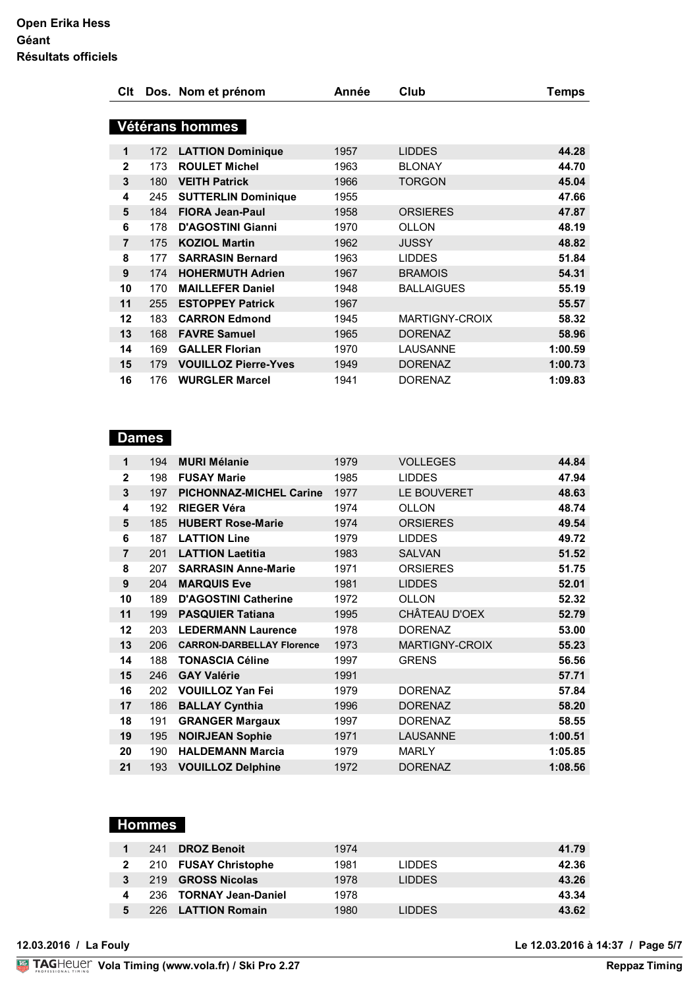| <b>C</b> lt  |     | Dos. Nom et prénom          | Année | Club              | <b>Temps</b> |
|--------------|-----|-----------------------------|-------|-------------------|--------------|
|              |     |                             |       |                   |              |
|              |     | Vétérans hommes             |       |                   |              |
| $\mathbf 1$  | 172 | <b>LATTION Dominique</b>    | 1957  | <b>LIDDES</b>     | 44.28        |
| $\mathbf{2}$ | 173 | <b>ROULET Michel</b>        | 1963  | <b>BLONAY</b>     | 44.70        |
| 3            | 180 | <b>VEITH Patrick</b>        | 1966  | <b>TORGON</b>     | 45.04        |
| 4            | 245 | <b>SUTTERLIN Dominique</b>  | 1955  |                   | 47.66        |
| 5            | 184 | <b>FIORA Jean-Paul</b>      | 1958  | <b>ORSIERES</b>   | 47.87        |
| 6            | 178 | <b>D'AGOSTINI Gianni</b>    | 1970  | OLLON             | 48.19        |
| 7            | 175 | <b>KOZIOL Martin</b>        | 1962  | <b>JUSSY</b>      | 48.82        |
| 8            | 177 | <b>SARRASIN Bernard</b>     | 1963  | <b>LIDDES</b>     | 51.84        |
| 9            | 174 | <b>HOHERMUTH Adrien</b>     | 1967  | <b>BRAMOIS</b>    | 54.31        |
| 10           | 170 | <b>MAILLEFER Daniel</b>     | 1948  | <b>BALLAIGUES</b> | 55.19        |
| 11           | 255 | <b>ESTOPPEY Patrick</b>     | 1967  |                   | 55.57        |
| 12           | 183 | <b>CARRON Edmond</b>        | 1945  | MARTIGNY-CROIX    | 58.32        |
| 13           | 168 | <b>FAVRE Samuel</b>         | 1965  | <b>DORENAZ</b>    | 58.96        |
| 14           | 169 | <b>GALLER Florian</b>       | 1970  | <b>LAUSANNE</b>   | 1:00.59      |
| 15           | 179 | <b>VOUILLOZ Pierre-Yves</b> | 1949  | <b>DORENAZ</b>    | 1:00.73      |
| 16           | 176 | <b>WURGLER Marcel</b>       | 1941  | <b>DORENAZ</b>    | 1:09.83      |

## **Dames**

| 1              | 194 | <b>MURI Mélanie</b>              | 1979 | <b>VOLLEGES</b> | 44.84   |
|----------------|-----|----------------------------------|------|-----------------|---------|
| $\mathbf{2}$   | 198 | <b>FUSAY Marie</b>               | 1985 | <b>LIDDES</b>   | 47.94   |
| 3              | 197 | <b>PICHONNAZ-MICHEL Carine</b>   | 1977 | LE BOUVERET     | 48.63   |
| 4              | 192 | <b>RIEGER Véra</b>               | 1974 | <b>OLLON</b>    | 48.74   |
| 5              | 185 | <b>HUBERT Rose-Marie</b>         | 1974 | <b>ORSIERES</b> | 49.54   |
| 6              | 187 | <b>LATTION Line</b>              | 1979 | <b>LIDDES</b>   | 49.72   |
| $\overline{7}$ | 201 | <b>LATTION Laetitia</b>          | 1983 | <b>SALVAN</b>   | 51.52   |
| 8              | 207 | <b>SARRASIN Anne-Marie</b>       | 1971 | <b>ORSIERES</b> | 51.75   |
| 9              | 204 | <b>MARQUIS Eve</b>               | 1981 | <b>LIDDES</b>   | 52.01   |
| 10             | 189 | <b>D'AGOSTINI Catherine</b>      | 1972 | <b>OLLON</b>    | 52.32   |
| 11             | 199 | <b>PASQUIER Tatiana</b>          | 1995 | CHÂTEAU D'OEX   | 52.79   |
| 12             | 203 | <b>LEDERMANN Laurence</b>        | 1978 | <b>DORENAZ</b>  | 53.00   |
| 13             | 206 | <b>CARRON-DARBELLAY Florence</b> | 1973 | MARTIGNY-CROIX  | 55.23   |
| 14             | 188 | <b>TONASCIA Céline</b>           | 1997 | <b>GRENS</b>    | 56.56   |
| 15             | 246 | <b>GAY Valérie</b>               | 1991 |                 | 57.71   |
| 16             | 202 | <b>VOUILLOZ Yan Fei</b>          | 1979 | <b>DORENAZ</b>  | 57.84   |
| 17             | 186 | <b>BALLAY Cynthia</b>            | 1996 | <b>DORENAZ</b>  | 58.20   |
| 18             | 191 | <b>GRANGER Margaux</b>           | 1997 | <b>DORENAZ</b>  | 58.55   |
| 19             | 195 | <b>NOIRJEAN Sophie</b>           | 1971 | <b>LAUSANNE</b> | 1:00.51 |
| 20             | 190 | <b>HALDEMANN Marcia</b>          | 1979 | <b>MARLY</b>    | 1:05.85 |
| 21             | 193 | <b>VOUILLOZ Delphine</b>         | 1972 | <b>DORENAZ</b>  | 1:08.56 |

## **Hommes**

|   | 241  | <b>DROZ Benoit</b>     | 1974 |               | 41.79 |
|---|------|------------------------|------|---------------|-------|
|   |      | 210 FUSAY Christophe   | 1981 | <b>LIDDES</b> | 42.36 |
|   | 219  | <b>GROSS Nicolas</b>   | 1978 | <b>LIDDES</b> | 43.26 |
| 4 |      | 236 TORNAY Jean-Daniel | 1978 |               | 43.34 |
| 5 | 226. | <b>LATTION Romain</b>  | 1980 | <b>LIDDES</b> | 43.62 |

**12.03.2016 / La Fouly Le 12.03.2016 à 14:37 / Page 5/7**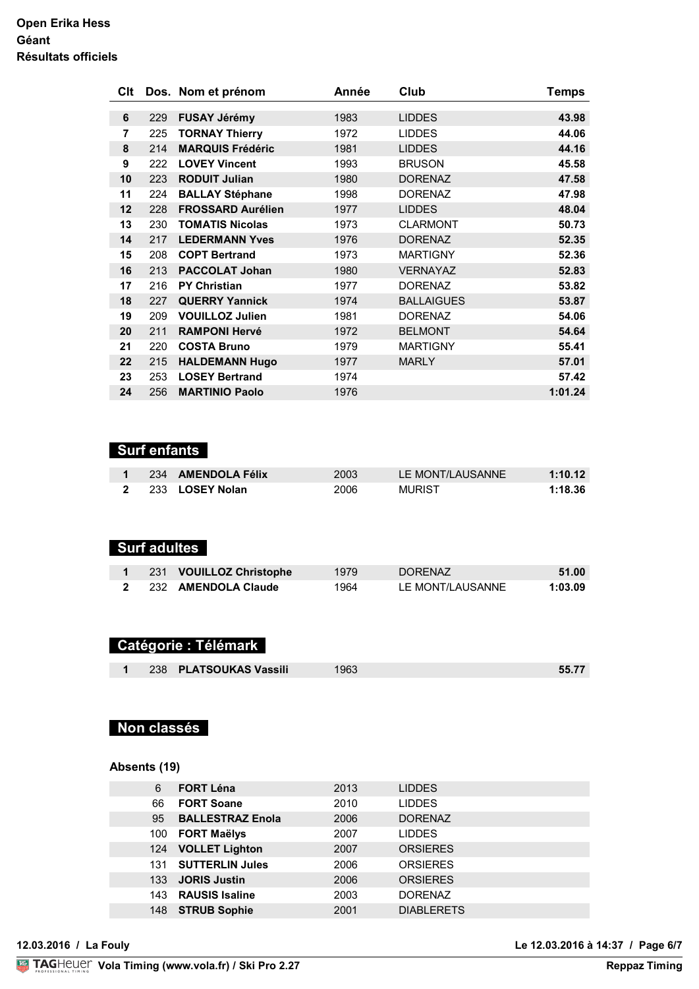| Clt |     | Dos. Nom et prénom       | Année | Club              | <b>Temps</b> |
|-----|-----|--------------------------|-------|-------------------|--------------|
|     |     |                          |       |                   |              |
| 6   | 229 | <b>FUSAY Jérémy</b>      | 1983  | <b>LIDDES</b>     | 43.98        |
| 7   | 225 | <b>TORNAY Thierry</b>    | 1972  | <b>LIDDES</b>     | 44.06        |
| 8   | 214 | <b>MARQUIS Frédéric</b>  | 1981  | <b>LIDDES</b>     | 44.16        |
| 9   | 222 | <b>LOVEY Vincent</b>     | 1993  | <b>BRUSON</b>     | 45.58        |
| 10  | 223 | <b>RODUIT Julian</b>     | 1980  | <b>DORENAZ</b>    | 47.58        |
| 11  | 224 | <b>BALLAY Stéphane</b>   | 1998  | <b>DORENAZ</b>    | 47.98        |
| 12  | 228 | <b>FROSSARD Aurélien</b> | 1977  | <b>LIDDES</b>     | 48.04        |
| 13  | 230 | <b>TOMATIS Nicolas</b>   | 1973  | <b>CLARMONT</b>   | 50.73        |
| 14  | 217 | <b>LEDERMANN Yves</b>    | 1976  | <b>DORENAZ</b>    | 52.35        |
| 15  | 208 | <b>COPT Bertrand</b>     | 1973  | <b>MARTIGNY</b>   | 52.36        |
| 16  | 213 | <b>PACCOLAT Johan</b>    | 1980  | <b>VERNAYAZ</b>   | 52.83        |
| 17  | 216 | <b>PY Christian</b>      | 1977  | <b>DORENAZ</b>    | 53.82        |
| 18  | 227 | <b>QUERRY Yannick</b>    | 1974  | <b>BALLAIGUES</b> | 53.87        |
| 19  | 209 | <b>VOUILLOZ Julien</b>   | 1981  | <b>DORENAZ</b>    | 54.06        |
| 20  | 211 | <b>RAMPONI Hervé</b>     | 1972  | <b>BELMONT</b>    | 54.64        |
| 21  | 220 | <b>COSTA Bruno</b>       | 1979  | <b>MARTIGNY</b>   | 55.41        |
| 22  | 215 | <b>HALDEMANN Hugo</b>    | 1977  | <b>MARLY</b>      | 57.01        |
| 23  | 253 | <b>LOSEY Bertrand</b>    | 1974  |                   | 57.42        |
| 24  | 256 | <b>MARTINIO Paolo</b>    | 1976  |                   | 1:01.24      |

## **Surf enfants**

|  | 234 AMENDOLA Félix | 2003 | LE MONT/LAUSANNE | 1:10.12 |
|--|--------------------|------|------------------|---------|
|  | 2 233 LOSEY Nolan  | 2006 | <b>MURIST</b>    | 1:18.36 |

# **Surf adultes**

|  | 1 231 VOUILLOZ Christophe | 1979 | <b>DORENAZ</b>   | 51.00   |
|--|---------------------------|------|------------------|---------|
|  | 2 232 AMENDOLA Claude     | 1964 | LE MONT/LAUSANNE | 1:03.09 |

## **Catégorie : Télémark**

|  |  | 238 PLATSOUKAS Vassili | 1963 | 55.77 |
|--|--|------------------------|------|-------|
|--|--|------------------------|------|-------|

## **Non classés**

#### **Absents (19)**

| 6   | <b>FORT Léna</b>        | 2013 | <b>LIDDES</b>     |  |
|-----|-------------------------|------|-------------------|--|
| 66  | <b>FORT Soane</b>       | 2010 | <b>LIDDES</b>     |  |
| 95  | <b>BALLESTRAZ Enola</b> | 2006 | <b>DORENAZ</b>    |  |
| 100 | <b>FORT Maëlys</b>      | 2007 | <b>LIDDES</b>     |  |
|     | 124 VOLLET Lighton      | 2007 | <b>ORSIERES</b>   |  |
| 131 | <b>SUTTERLIN Jules</b>  | 2006 | <b>ORSIERES</b>   |  |
| 133 | <b>JORIS Justin</b>     | 2006 | <b>ORSIERES</b>   |  |
| 143 | <b>RAUSIS Isaline</b>   | 2003 | <b>DORENAZ</b>    |  |
| 148 | <b>STRUB Sophie</b>     | 2001 | <b>DIABLERETS</b> |  |
|     |                         |      |                   |  |

**12.03.2016 / La Fouly Le 12.03.2016 à 14:37 / Page 6/7**